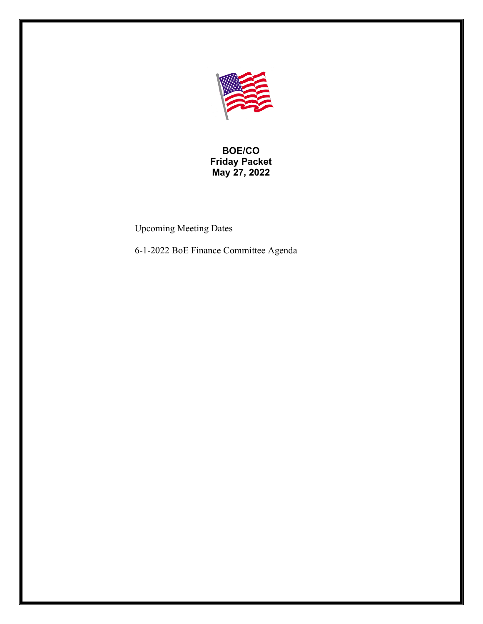

**BOE/CO Friday Packet May 27, 2022**

Upcoming Meeting Dates

6-1-2022 BoE Finance Committee Agenda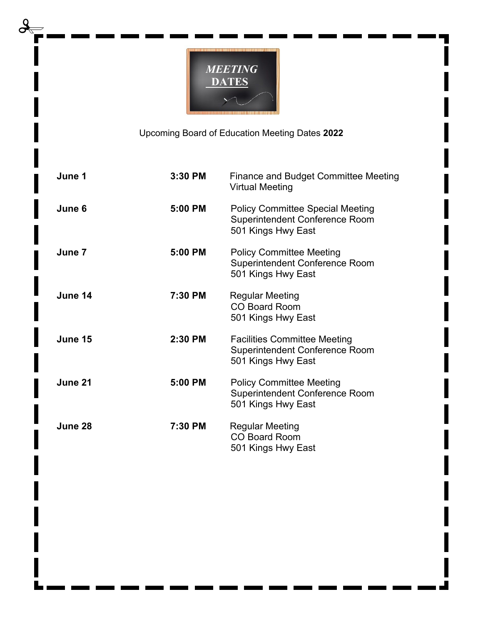

Upcoming Board of Education Meeting Dates **2022**

| June 1  | 3:30 PM | <b>Finance and Budget Committee Meeting</b><br><b>Virtual Meeting</b>                              |
|---------|---------|----------------------------------------------------------------------------------------------------|
| June 6  | 5:00 PM | <b>Policy Committee Special Meeting</b><br>Superintendent Conference Room<br>501 Kings Hwy East    |
| June 7  | 5:00 PM | <b>Policy Committee Meeting</b><br>Superintendent Conference Room<br>501 Kings Hwy East            |
| June 14 | 7:30 PM | <b>Regular Meeting</b><br><b>CO Board Room</b><br>501 Kings Hwy East                               |
| June 15 | 2:30 PM | <b>Facilities Committee Meeting</b><br><b>Superintendent Conference Room</b><br>501 Kings Hwy East |
| June 21 | 5:00 PM | <b>Policy Committee Meeting</b><br>Superintendent Conference Room<br>501 Kings Hwy East            |
| June 28 | 7:30 PM | <b>Regular Meeting</b><br><b>CO Board Room</b><br>501 Kings Hwy East                               |